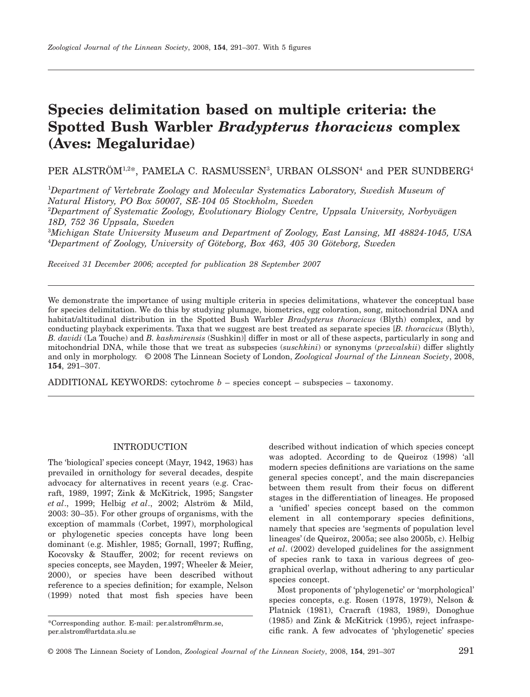# **Species delimitation based on multiple criteria: the Spotted Bush Warbler** *Bradypterus thoracicus* **complex (Aves: Megaluridae)**

PER ALSTRÖM<sup>1,2\*</sup>, PAMELA C. RASMUSSEN<sup>3</sup>, URBAN OLSSON<sup>4</sup> and PER SUNDBERG<sup>4</sup>

1 *Department of Vertebrate Zoology and Molecular Systematics Laboratory, Swedish Museum of Natural History, PO Box 50007, SE-104 05 Stockholm, Sweden*

2 *Department of Systematic Zoology, Evolutionary Biology Centre, Uppsala University, Norbyvägen 18D, 752 36 Uppsala, Sweden*

3 *Michigan State University Museum and Department of Zoology, East Lansing, MI 48824-1045, USA* 4 *Department of Zoology, University of Göteborg, Box 463, 405 30 Göteborg, Sweden*

*Received 31 December 2006; accepted for publication 28 September 2007*

We demonstrate the importance of using multiple criteria in species delimitations, whatever the conceptual base for species delimitation. We do this by studying plumage, biometrics, egg coloration, song, mitochondrial DNA and habitat/altitudinal distribution in the Spotted Bush Warbler *Bradypterus thoracicus* (Blyth) complex, and by conducting playback experiments. Taxa that we suggest are best treated as separate species [*B. thoracicus* (Blyth), *B. davidi* (La Touche) and *B. kashmirensis* (Sushkin)] differ in most or all of these aspects, particularly in song and mitochondrial DNA, while those that we treat as subspecies (*suschkini*) or synonyms (*przevalskii*) differ slightly and only in morphology. © 2008 The Linnean Society of London, *Zoological Journal of the Linnean Society*, 2008, **154**, 291–307.

ADDITIONAL KEYWORDS: cytochrome *b* – species concept – subspecies – taxonomy.

## INTRODUCTION

The 'biological' species concept (Mayr, 1942, 1963) has prevailed in ornithology for several decades, despite advocacy for alternatives in recent years (e.g. Cracraft, 1989, 1997; Zink & McKitrick, 1995; Sangster *et al*., 1999; Helbig *et al*., 2002; Alström & Mild, 2003: 30–35). For other groups of organisms, with the exception of mammals (Corbet, 1997), morphological or phylogenetic species concepts have long been dominant (e.g. Mishler, 1985; Gornall, 1997; Ruffing, Kocovsky & Stauffer, 2002; for recent reviews on species concepts, see Mayden, 1997; Wheeler & Meier, 2000), or species have been described without reference to a species definition; for example, Nelson (1999) noted that most fish species have been described without indication of which species concept was adopted. According to de Queiroz (1998) 'all modern species definitions are variations on the same general species concept', and the main discrepancies between them result from their focus on different stages in the differentiation of lineages. He proposed a 'unified' species concept based on the common element in all contemporary species definitions, namely that species are 'segments of population level lineages' (de Queiroz, 2005a; see also 2005b, c). Helbig *et al*. (2002) developed guidelines for the assignment of species rank to taxa in various degrees of geographical overlap, without adhering to any particular species concept.

Most proponents of 'phylogenetic' or 'morphological' species concepts, e.g. Rosen (1978, 1979), Nelson & Platnick (1981), Cracraft (1983, 1989), Donoghue (1985) and Zink & McKitrick (1995), reject infraspecific rank. A few advocates of 'phylogenetic' species

<sup>\*</sup>Corresponding author. E-mail: per[.alstrom@nrm.se,](mailto:alstrom@nrm.se) per.[alstrom@artdata.slu.se](mailto:alstrom@artdata.slu.se)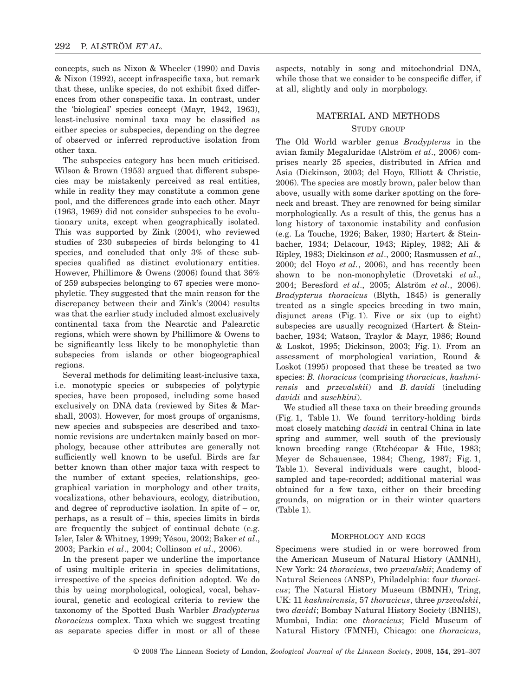concepts, such as Nixon & Wheeler (1990) and Davis & Nixon (1992), accept infraspecific taxa, but remark that these, unlike species, do not exhibit fixed differences from other conspecific taxa. In contrast, under the 'biological' species concept (Mayr, 1942, 1963), least-inclusive nominal taxa may be classified as either species or subspecies, depending on the degree of observed or inferred reproductive isolation from other taxa.

The subspecies category has been much criticised. Wilson & Brown (1953) argued that different subspecies may be mistakenly perceived as real entities, while in reality they may constitute a common gene pool, and the differences grade into each other. Mayr (1963, 1969) did not consider subspecies to be evolutionary units, except when geographically isolated. This was supported by Zink (2004), who reviewed studies of 230 subspecies of birds belonging to 41 species, and concluded that only 3% of these subspecies qualified as distinct evolutionary entities. However, Phillimore & Owens (2006) found that 36% of 259 subspecies belonging to 67 species were monophyletic. They suggested that the main reason for the discrepancy between their and Zink's (2004) results was that the earlier study included almost exclusively continental taxa from the Nearctic and Palearctic regions, which were shown by Phillimore & Owens to be significantly less likely to be monophyletic than subspecies from islands or other biogeographical regions.

Several methods for delimiting least-inclusive taxa, i.e. monotypic species or subspecies of polytypic species, have been proposed, including some based exclusively on DNA data (reviewed by Sites & Marshall, 2003). However, for most groups of organisms, new species and subspecies are described and taxonomic revisions are undertaken mainly based on morphology, because other attributes are generally not sufficiently well known to be useful. Birds are far better known than other major taxa with respect to the number of extant species, relationships, geographical variation in morphology and other traits, vocalizations, other behaviours, ecology, distribution, and degree of reproductive isolation. In spite of  $-$  or, perhaps, as a result of – this, species limits in birds are frequently the subject of continual debate (e.g. Isler, Isler & Whitney, 1999; Yésou, 2002; Baker *et al*., 2003; Parkin *et al*., 2004; Collinson *et al*., 2006).

In the present paper we underline the importance of using multiple criteria in species delimitations, irrespective of the species definition adopted. We do this by using morphological, oological, vocal, behavioural, genetic and ecological criteria to review the taxonomy of the Spotted Bush Warbler *Bradypterus thoracicus* complex. Taxa which we suggest treating as separate species differ in most or all of these aspects, notably in song and mitochondrial DNA, while those that we consider to be conspecific differ, if at all, slightly and only in morphology.

#### MATERIAL AND METHODS

#### STUDY GROUP

The Old World warbler genus *Bradypterus* in the avian family Megaluridae (Alström *et al*., 2006) comprises nearly 25 species, distributed in Africa and Asia (Dickinson, 2003; del Hoyo, Elliott & Christie, 2006). The species are mostly brown, paler below than above, usually with some darker spotting on the foreneck and breast. They are renowned for being similar morphologically. As a result of this, the genus has a long history of taxonomic instability and confusion (e.g. La Touche, 1926; Baker, 1930; Hartert & Steinbacher, 1934; Delacour, 1943; Ripley, 1982; Ali & Ripley, 1983; Dickinson *et al*., 2000; Rasmussen *et al*., 2000; del Hoyo *et al.*, 2006), and has recently been shown to be non-monophyletic (Drovetski *et al*., 2004; Beresford *et al*., 2005; Alström *et al*., 2006). *Bradypterus thoracicus* (Blyth, 1845) is generally treated as a single species breeding in two main, disjunct areas (Fig. 1). Five or six (up to eight) subspecies are usually recognized (Hartert & Steinbacher, 1934; Watson, Traylor & Mayr, 1986; Round & Loskot, 1995; Dickinson, 2003; Fig. 1). From an assessment of morphological variation, Round & Loskot (1995) proposed that these be treated as two species: *B. thoracicus* (comprising *thoracicus*, *kashmirensis* and *przevalskii*) and *B. davidi* (including *davidi* and *suschkini*).

We studied all these taxa on their breeding grounds (Fig. 1, Table 1). We found territory-holding birds most closely matching *davidi* in central China in late spring and summer, well south of the previously known breeding range (Etchécopar & Hüe, 1983; Meyer de Schauensee, 1984; Cheng, 1987; Fig. 1, Table 1). Several individuals were caught, bloodsampled and tape-recorded; additional material was obtained for a few taxa, either on their breeding grounds, on migration or in their winter quarters (Table 1).

#### MORPHOLOGY AND EGGS

Specimens were studied in or were borrowed from the American Museum of Natural History (AMNH), New York: 24 *thoracicus*, two *przevalskii*; Academy of Natural Sciences (ANSP), Philadelphia: four *thoracicus*; The Natural History Museum (BMNH), Tring, UK: 11 *kashmirensis*, 57 *thoracicus*, three *przevalskii*, two *davidi*; Bombay Natural History Society (BNHS), Mumbai, India: one *thoracicus*; Field Museum of Natural History (FMNH), Chicago: one *thoracicus*,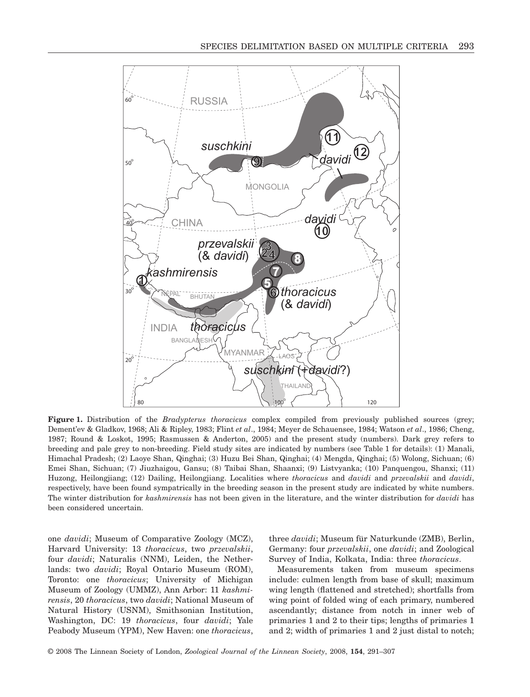

**Figure 1.** Distribution of the *Bradypterus thoracicus* complex compiled from previously published sources (grey; Dement'ev & Gladkov, 1968; Ali & Ripley, 1983; Flint *et al*., 1984; Meyer de Schauensee, 1984; Watson *et al*., 1986; Cheng, 1987; Round & Loskot, 1995; Rasmussen & Anderton, 2005) and the present study (numbers). Dark grey refers to breeding and pale grey to non-breeding. Field study sites are indicated by numbers (see Table 1 for details): (1) Manali, Himachal Pradesh; (2) Laoye Shan, Qinghai; (3) Huzu Bei Shan, Qinghai; (4) Mengda, Qinghai; (5) Wolong, Sichuan; (6) Emei Shan, Sichuan; (7) Jiuzhaigou, Gansu; (8) Taibai Shan, Shaanxi; (9) Listvyanka; (10) Panquengou, Shanxi; (11) Huzong, Heilongjiang; (12) Dailing, Heilongjiang. Localities where *thoracicus* and *davidi* and *przevalskii* and *davidi*, respectively, have been found sympatrically in the breeding season in the present study are indicated by white numbers. The winter distribution for *kashmirensis* has not been given in the literature, and the winter distribution for *davidi* has been considered uncertain.

one *davidi*; Museum of Comparative Zoology (MCZ), Harvard University: 13 *thoracicus*, two *przevalskii*, four *davidi*; Naturalis (NNM), Leiden, the Netherlands: two *davidi*; Royal Ontario Museum (ROM), Toronto: one *thoracicus*; University of Michigan Museum of Zoology (UMMZ), Ann Arbor: 11 *kashmirensis*, 20 *thoracicus*, two *davidi*; National Museum of Natural History (USNM), Smithsonian Institution, Washington, DC: 19 *thoracicus*, four *davidi*; Yale Peabody Museum (YPM), New Haven: one *thoracicus*, three *davidi*; Museum für Naturkunde (ZMB), Berlin, Germany: four *przevalskii*, one *davidi*; and Zoological Survey of India, Kolkata, India: three *thoracicus*.

Measurements taken from museum specimens include: culmen length from base of skull; maximum wing length (flattened and stretched); shortfalls from wing point of folded wing of each primary, numbered ascendantly; distance from notch in inner web of primaries 1 and 2 to their tips; lengths of primaries 1 and 2; width of primaries 1 and 2 just distal to notch;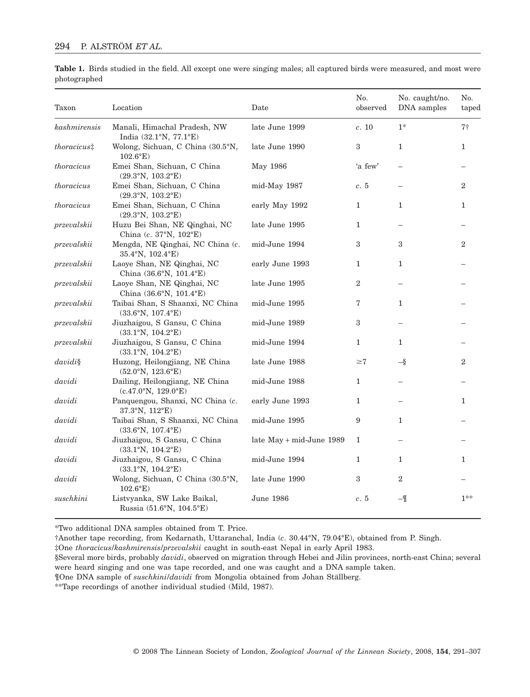| <b>Table 1.</b> Birds studied in the field. All except one were singing males; all captured birds were measured, and most were |  |  |  |
|--------------------------------------------------------------------------------------------------------------------------------|--|--|--|
| photographed                                                                                                                   |  |  |  |

| Taxon          | Location                                                                            | Date                     | No.<br>observed | No. caught/no.<br>DNA samples | No.<br>taped   |
|----------------|-------------------------------------------------------------------------------------|--------------------------|-----------------|-------------------------------|----------------|
| kashmirensis   | Manali, Himachal Pradesh, NW<br>India $(32.1^{\circ}N, 77.1^{\circ}E)$              | late June 1999           | c. 10           | $1^*$                         | $7\dagger$     |
| $thoracicus$ # | Wolong, Sichuan, C China (30.5°N,<br>$102.6^{\circ} \mathrm{E})$                    | late June 1990           | $\,3$           | $\mathbf{1}$                  | 1              |
| thoracicus     | Emei Shan, Sichuan, C China<br>$(29.3^{\circ}\text{N}, 103.2^{\circ}\text{E})$      | May 1986                 | 'a few'         |                               |                |
| thoracicus     | Emei Shan, Sichuan, C China<br>(29.3°N, 103.2°E)                                    | mid-May 1987             | c.5             |                               | $\overline{2}$ |
| thoracicus     | Emei Shan, Sichuan, C China<br>$(29.3^{\circ}\text{N}, 103.2^{\circ}\text{E})$      | early May 1992           | 1               | 1                             | $\mathbf{1}$   |
| przevalskii    | Huzu Bei Shan, NE Qinghai, NC<br>China (c. 37°N, 102°E)                             | late June 1995           | $\mathbf{1}$    |                               |                |
| przevalskii    | Mengda, NE Qinghai, NC China (c.<br>35.4°N, 102.4°E)                                | mid-June 1994            | 3               | 3                             | $\overline{2}$ |
| przevalskii    | Laoye Shan, NE Qinghai, NC<br>China (36.6°N, 101.4°E)                               | early June 1993          | $\mathbf{1}$    | $\mathbf{1}$                  |                |
| przevalskii    | Laoye Shan, NE Qinghai, NC<br>China (36.6°N, 101.4°E)                               | late June 1995           | 2               |                               |                |
| przevalskii    | Taibai Shan, S Shaanxi, NC China<br>$(33.6^{\circ}\text{N}, 107.4^{\circ}\text{E})$ | mid-June 1995            | 7               | 1                             |                |
| przevalskii    | Jiuzhaigou, S Gansu, C China<br>(33.1°N, 104.2°E)                                   | mid-June 1989            | 3               |                               |                |
| przevalskii    | Jiuzhaigou, S Gansu, C China<br>$(33.1^{\circ}N, 104.2^{\circ}E)$                   | mid-June 1994            | $\mathbf{1}$    | 1                             |                |
| davidi§        | Huzong, Heilongjiang, NE China<br>$(52.0^{\circ}N, 123.6^{\circ}E)$                 | late June 1988           | $\geq 7$        | $-\S$                         | $\overline{2}$ |
| davidi         | Dailing, Heilongjiang, NE China<br>$(c.47.0\textdegree N, 129.0\textdegree E)$      | mid-June 1988            | $\mathbf{1}$    |                               |                |
| davidi         | Panquengou, Shanxi, NC China (c.<br>37.3°N, 112°E)                                  | early June 1993          | 1               |                               | 1              |
| davidi         | Taibai Shan, S Shaanxi, NC China<br>(33.6°N, 107.4°E)                               | mid-June 1995            | 9               | $\mathbf{1}$                  |                |
| davidi         | Jiuzhaigou, S Gansu, C China<br>(33.1°N, 104.2°E)                                   | late May + mid-June 1989 | 1               |                               |                |
| davidi         | Jiuzhaigou, S Gansu, C China<br>$(33.1^{\circ}N, 104.2^{\circ}E)$                   | mid-June 1994            | 1               | 1                             | 1              |
| davidi         | Wolong, Sichuan, C China (30.5°N,<br>$102.6^{\circ}E)$                              | late June 1990           | 3               | $\overline{2}$                |                |
| suschkini      | Listvyanka, SW Lake Baikal,<br>Russia (51.6°N, 104.5°E)                             | June 1986                | c.5             | $-\mathbb{I}$                 | $1**$          |

\*Two additional DNA samples obtained from T. Price.

†Another tape recording, from Kedarnath, Uttaranchal, India (*c*. 30.44°N, 79.04°E), obtained from P. Singh.

‡One *thoracicus/kashmirensis/przevalskii* caught in south-east Nepal in early April 1983.

§Several more birds, probably *davidi*, observed on migration through Hebei and Jilin provinces, north-east China; several were heard singing and one was tape recorded, and one was caught and a DNA sample taken.

¶One DNA sample of *suschkini/davidi* from Mongolia obtained from Johan Ställberg.

\*\*Tape recordings of another individual studied (Mild, 1987).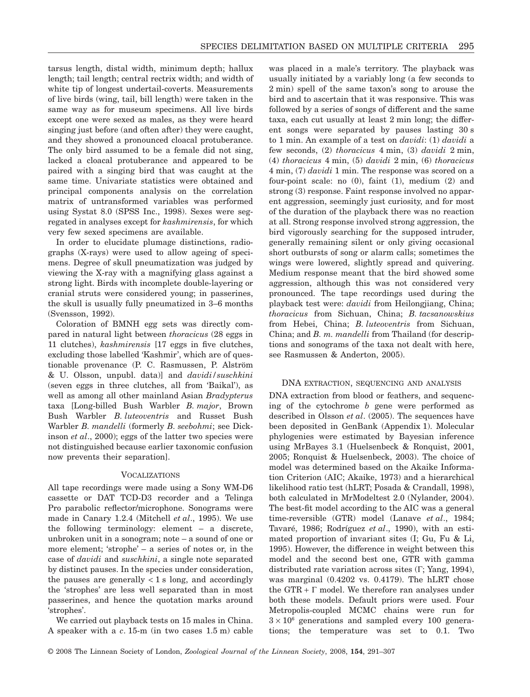tarsus length, distal width, minimum depth; hallux length; tail length; central rectrix width; and width of white tip of longest undertail-coverts. Measurements of live birds (wing, tail, bill length) were taken in the same way as for museum specimens. All live birds except one were sexed as males, as they were heard singing just before (and often after) they were caught, and they showed a pronounced cloacal protuberance. The only bird assumed to be a female did not sing, lacked a cloacal protuberance and appeared to be paired with a singing bird that was caught at the same time. Univariate statistics were obtained and principal components analysis on the correlation matrix of untransformed variables was performed using Systat 8.0 (SPSS Inc., 1998). Sexes were segregated in analyses except for *kashmirensis*, for which very few sexed specimens are available.

In order to elucidate plumage distinctions, radiographs (X-rays) were used to allow ageing of specimens. Degree of skull pneumatization was judged by viewing the X-ray with a magnifying glass against a strong light. Birds with incomplete double-layering or cranial struts were considered young; in passerines, the skull is usually fully pneumatized in 3–6 months (Svensson, 1992).

Coloration of BMNH egg sets was directly compared in natural light between *thoracicus* (28 eggs in 11 clutches), *kashmirensis* [17 eggs in five clutches, excluding those labelled 'Kashmir', which are of questionable provenance (P. C. Rasmussen, P. Alström & U. Olsson, unpubl. data)] and *davidi/suschkini* (seven eggs in three clutches, all from 'Baikal'), as well as among all other mainland Asian *Bradypterus* taxa [Long-billed Bush Warbler *B. major*, Brown Bush Warbler *B. luteoventris* and Russet Bush Warbler *B. mandelli* (formerly *B. seebohmi*; see Dickinson *et al.*, 2000); eggs of the latter two species were not distinguished because earlier taxonomic confusion now prevents their separation].

## VOCALIZATIONS

All tape recordings were made using a Sony WM-D6 cassette or DAT TCD-D3 recorder and a Telinga Pro parabolic reflector/microphone. Sonograms were made in Canary 1.2.4 (Mitchell *et al*., 1995). We use the following terminology: element – a discrete, unbroken unit in a sonogram; note – a sound of one or more element; 'strophe' – a series of notes or, in the case of *davidi* and *suschkini*, a single note separated by distinct pauses. In the species under consideration, the pauses are generally  $< 1$  s long, and accordingly the 'strophes' are less well separated than in most passerines, and hence the quotation marks around 'strophes'.

We carried out playback tests on 15 males in China. A speaker with a *c*. 15-m (in two cases 1.5 m) cable was placed in a male's territory. The playback was usually initiated by a variably long (a few seconds to 2 min) spell of the same taxon's song to arouse the bird and to ascertain that it was responsive. This was followed by a series of songs of different and the same taxa, each cut usually at least 2 min long; the different songs were separated by pauses lasting 30 s to 1 min. An example of a test on *davidi*: (1) *davidi* a few seconds, (2) *thoracicus* 4 min, (3) *davidi* 2 min, (4) *thoracicus* 4 min, (5) *davidi* 2 min, (6) *thoracicus* 4 min, (7) *davidi* 1 min. The response was scored on a four-point scale: no (0), faint (1), medium (2) and strong (3) response. Faint response involved no apparent aggression, seemingly just curiosity, and for most of the duration of the playback there was no reaction at all. Strong response involved strong aggression, the bird vigorously searching for the supposed intruder, generally remaining silent or only giving occasional short outbursts of song or alarm calls; sometimes the wings were lowered, slightly spread and quivering. Medium response meant that the bird showed some aggression, although this was not considered very pronounced. The tape recordings used during the playback test were: *davidi* from Heilongjiang, China; *thoracicus* from Sichuan, China; *B. tacsanowskius* from Hebei, China; *B. luteoventris* from Sichuan, China; and *B. m. mandelli* from Thailand (for descriptions and sonograms of the taxa not dealt with here, see Rasmussen & Anderton, 2005).

## DNA EXTRACTION, SEQUENCING AND ANALYSIS

DNA extraction from blood or feathers, and sequencing of the cytochrome *b* gene were performed as described in Olsson *et al*. (2005). The sequences have been deposited in GenBank (Appendix 1). Molecular phylogenies were estimated by Bayesian inference using MrBayes 3.1 (Huelsenbeck & Ronquist, 2001, 2005; Ronquist & Huelsenbeck, 2003). The choice of model was determined based on the Akaike Information Criterion (AIC; Akaike, 1973) and a hierarchical likelihood ratio test (hLRT; Posada & Crandall, 1998), both calculated in MrModeltest 2.0 (Nylander, 2004). The best-fit model according to the AIC was a general time-reversible (GTR) model (Lanave *et al*., 1984; Tavaré, 1986; Rodríguez *et al*., 1990), with an estimated proportion of invariant sites (I; Gu, Fu & Li, 1995). However, the difference in weight between this model and the second best one, GTR with gamma distributed rate variation across sites  $(\Gamma; \text{Yang}, 1994)$ , was marginal (0.4202 vs. 0.4179). The hLRT chose the GTR +  $\Gamma$  model. We therefore ran analyses under both these models. Default priors were used. Four Metropolis-coupled MCMC chains were run for  $3 \times 10^6$  generations and sampled every 100 generations; the temperature was set to 0.1. Two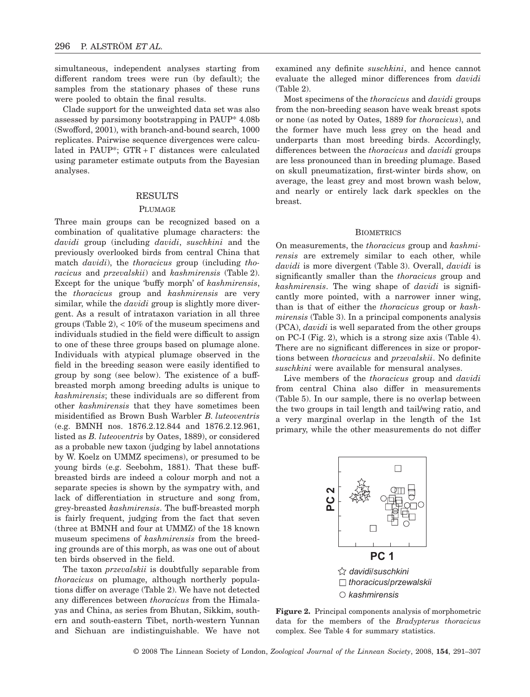simultaneous, independent analyses starting from different random trees were run (by default); the samples from the stationary phases of these runs were pooled to obtain the final results.

Clade support for the unweighted data set was also assessed by parsimony bootstrapping in PAUP\* 4.08b (Swofford, 2001), with branch-and-bound search, 1000 replicates. Pairwise sequence divergences were calculated in PAUP\*; GTR +  $\Gamma$  distances were calculated using parameter estimate outputs from the Bayesian analyses.

#### RESULTS

#### PLUMAGE

Three main groups can be recognized based on a combination of qualitative plumage characters: the *davidi* group (including *davidi*, *suschkini* and the previously overlooked birds from central China that match *davidi*), the *thoracicus* group (including *thoracicus* and *przevalskii*) and *kashmirensis* (Table 2). Except for the unique 'buffy morph' of *kashmirensis*, the *thoracicus* group and *kashmirensis* are very similar, while the *davidi* group is slightly more divergent. As a result of intrataxon variation in all three groups (Table 2), < 10% of the museum specimens and individuals studied in the field were difficult to assign to one of these three groups based on plumage alone. Individuals with atypical plumage observed in the field in the breeding season were easily identified to group by song (see below). The existence of a buffbreasted morph among breeding adults is unique to *kashmirensis*; these individuals are so different from other *kashmirensis* that they have sometimes been misidentified as Brown Bush Warbler *B. luteoventris* (e.g. BMNH nos. 1876.2.12.844 and 1876.2.12.961, listed as *B. luteoventris* by Oates, 1889), or considered as a probable new taxon (judging by label annotations by W. Koelz on UMMZ specimens), or presumed to be young birds (e.g. Seebohm, 1881). That these buffbreasted birds are indeed a colour morph and not a separate species is shown by the sympatry with, and lack of differentiation in structure and song from, grey-breasted *kashmirensis*. The buff-breasted morph is fairly frequent, judging from the fact that seven (three at BMNH and four at UMMZ) of the 18 known museum specimens of *kashmirensis* from the breeding grounds are of this morph, as was one out of about ten birds observed in the field.

The taxon *przevalskii* is doubtfully separable from *thoracicus* on plumage, although northerly populations differ on average (Table 2). We have not detected any differences between *thoracicus* from the Himalayas and China, as series from Bhutan, Sikkim, southern and south-eastern Tibet, north-western Yunnan and Sichuan are indistinguishable. We have not examined any definite *suschkini*, and hence cannot evaluate the alleged minor differences from *davidi* (Table 2).

Most specimens of the *thoracicus* and *davidi* groups from the non-breeding season have weak breast spots or none (as noted by Oates, 1889 for *thoracicus*), and the former have much less grey on the head and underparts than most breeding birds. Accordingly, differences between the *thoracicus* and *davidi* groups are less pronounced than in breeding plumage. Based on skull pneumatization, first-winter birds show, on average, the least grey and most brown wash below, and nearly or entirely lack dark speckles on the breast.

#### **BIOMETRICS**

On measurements, the *thoracicus* group and *kashmirensis* are extremely similar to each other, while *davidi* is more divergent (Table 3). Overall, *davidi* is significantly smaller than the *thoracicus* group and *kashmirensis*. The wing shape of *davidi* is significantly more pointed, with a narrower inner wing, than is that of either the *thoracicus* group or *kashmirensis* (Table 3). In a principal components analysis (PCA), *davidi* is well separated from the other groups on PC-I (Fig. 2), which is a strong size axis (Table 4). There are no significant differences in size or proportions between *thoracicus* and *przevalskii*. No definite *suschkini* were available for mensural analyses.

Live members of the *thoracicus* group and *davidi* from central China also differ in measurements (Table 5). In our sample, there is no overlap between the two groups in tail length and tail/wing ratio, and a very marginal overlap in the length of the 1st primary, while the other measurements do not differ



**Figure 2.** Principal components analysis of morphometric data for the members of the *Bradypterus thoracicus* complex. See Table 4 for summary statistics.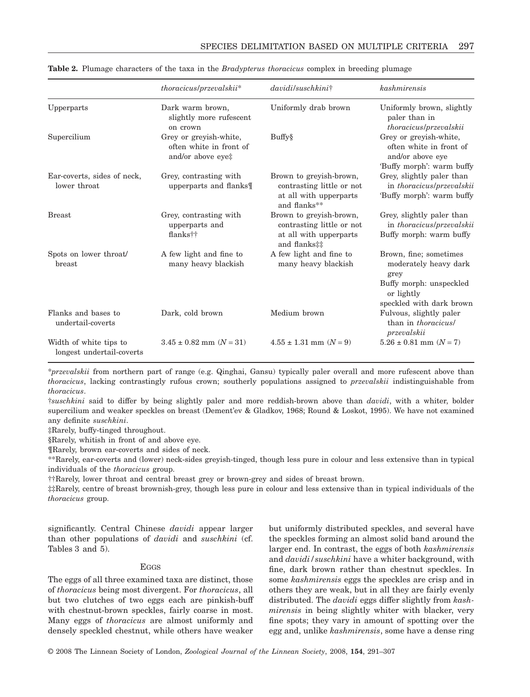|                                                     | $thoracicus/przevalskii*$                                              | davidi/suschkini†                                                                              | kashmirensis                                                                                                                 |
|-----------------------------------------------------|------------------------------------------------------------------------|------------------------------------------------------------------------------------------------|------------------------------------------------------------------------------------------------------------------------------|
| Upperparts                                          | Dark warm brown,<br>slightly more rufescent<br>on crown                | Uniformly drab brown                                                                           | Uniformly brown, slightly<br>paler than in<br>thoracicus/przevalskii                                                         |
| Supercilium                                         | Grey or greyish-white,<br>often white in front of<br>and/or above eye‡ | Buffy§                                                                                         | Grey or greyish-white,<br>often white in front of<br>and/or above eye                                                        |
| Ear-coverts, sides of neck,<br>lower throat         | Grey, contrasting with.<br>upperparts and flanks                       | Brown to greyish-brown,<br>contrasting little or not<br>at all with upperparts<br>and flanks** | 'Buffy morph': warm buffy<br>Grey, slightly paler than<br>in thoracicus/przevalskii<br>'Buffy morph': warm buffy             |
| <b>Breast</b>                                       | Grey, contrasting with<br>upperparts and<br>flanks††                   | Brown to greyish-brown,<br>contrasting little or not<br>at all with upperparts<br>and flanks## | Grey, slightly paler than<br>in thoracicus/przevalskii<br>Buffy morph: warm buffy                                            |
| Spots on lower throat/<br>breast                    | A few light and fine to<br>many heavy blackish                         | A few light and fine to<br>many heavy blackish                                                 | Brown, fine; sometimes<br>moderately heavy dark<br>grey<br>Buffy morph: unspeckled<br>or lightly<br>speckled with dark brown |
| Flanks and bases to<br>undertail-coverts            | Dark, cold brown                                                       | Medium brown                                                                                   | Fulvous, slightly paler<br>than in <i>thoracicus</i> /<br>przevalskii                                                        |
| Width of white tips to<br>longest undertail-coverts | $3.45 \pm 0.82$ mm $(N = 31)$                                          | $4.55 \pm 1.31$ mm $(N = 9)$                                                                   | $5.26 \pm 0.81$ mm $(N = 7)$                                                                                                 |

**Table 2.** Plumage characters of the taxa in the *Bradypterus thoracicus* complex in breeding plumage

\**przevalskii* from northern part of range (e.g. Qinghai, Gansu) typically paler overall and more rufescent above than *thoracicus*, lacking contrastingly rufous crown; southerly populations assigned to *przevalskii* indistinguishable from *thoracicus*.

†*suschkini* said to differ by being slightly paler and more reddish-brown above than *davidi*, with a whiter, bolder supercilium and weaker speckles on breast (Dement'ev & Gladkov, 1968; Round & Loskot, 1995). We have not examined any definite *suschkini*.

‡Rarely, buffy-tinged throughout.

§Rarely, whitish in front of and above eye.

¶Rarely, brown ear-coverts and sides of neck.

\*\*Rarely, ear-coverts and (lower) neck-sides greyish-tinged, though less pure in colour and less extensive than in typical individuals of the *thoracicus* group.

††Rarely, lower throat and central breast grey or brown-grey and sides of breast brown.

‡‡Rarely, centre of breast brownish-grey, though less pure in colour and less extensive than in typical individuals of the *thoracicus* group.

significantly. Central Chinese *davidi* appear larger than other populations of *davidi* and *suschkini* (cf. Tables 3 and 5).

#### EGGS

The eggs of all three examined taxa are distinct, those of *thoracicus* being most divergent. For *thoracicus*, all but two clutches of two eggs each are pinkish-buff with chestnut-brown speckles, fairly coarse in most. Many eggs of *thoracicus* are almost uniformly and densely speckled chestnut, while others have weaker but uniformly distributed speckles, and several have the speckles forming an almost solid band around the larger end. In contrast, the eggs of both *kashmirensis* and *davidi/suschkini* have a whiter background, with fine, dark brown rather than chestnut speckles. In some *kashmirensis* eggs the speckles are crisp and in others they are weak, but in all they are fairly evenly distributed. The *davidi* eggs differ slightly from *kashmirensis* in being slightly whiter with blacker, very fine spots; they vary in amount of spotting over the egg and, unlike *kashmirensis*, some have a dense ring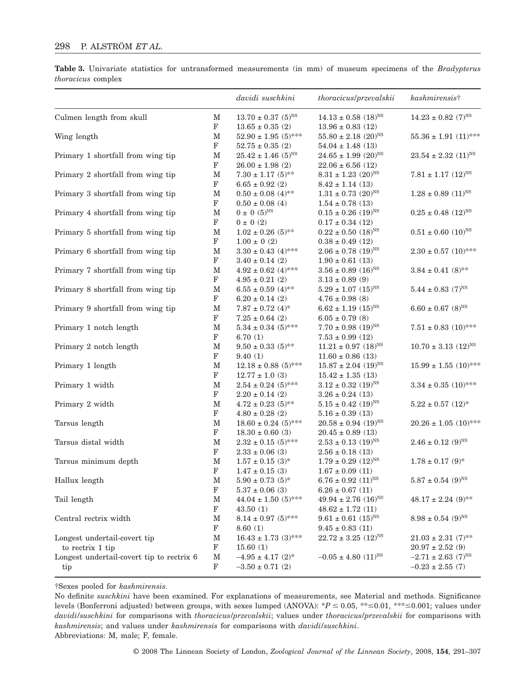# 298 P. ALSTRÖM *ET AL.*

**Table 3.** Univariate statistics for untransformed measurements (in mm) of museum specimens of the *Bradypterus thoracicus* complex

|                       | davidi suschkini                                                                                                                    | thoracicus/przevalskii                                                                                                                                                                                                        | kashmirensist                                                                                                                                                                                                          |
|-----------------------|-------------------------------------------------------------------------------------------------------------------------------------|-------------------------------------------------------------------------------------------------------------------------------------------------------------------------------------------------------------------------------|------------------------------------------------------------------------------------------------------------------------------------------------------------------------------------------------------------------------|
| М                     | $13.70 \pm 0.37$ (5) <sup>NS</sup>                                                                                                  | $14.13 \pm 0.58$ (18) <sup>NS</sup>                                                                                                                                                                                           | $14.23 \pm 0.82$ (7) <sup>NS</sup>                                                                                                                                                                                     |
| М                     | $52.90 \pm 1.95$ (5)***                                                                                                             | $55.80 \pm 2.18$ (20) <sup>NS</sup>                                                                                                                                                                                           | $55.36 \pm 1.91$ (11)***                                                                                                                                                                                               |
| $\mathbf M$           | $25.42 \pm 1.46$ (5) <sup>NS</sup>                                                                                                  | $24.65 \pm 1.99$ $(20)^{\text{NS}}$                                                                                                                                                                                           | $23.54 \pm 2.32$ (11) <sup>NS</sup>                                                                                                                                                                                    |
| М                     | $7.30 \pm 1.17$ (5)**                                                                                                               | $8.31 \pm 1.23$ (20) <sup>NS</sup>                                                                                                                                                                                            | $7.81 \pm 1.17$ $(12)^{NS}$                                                                                                                                                                                            |
| M                     | $0.50 \pm 0.08$ (4)**                                                                                                               | $1.31 \pm 0.73$ (20) <sup>NS</sup>                                                                                                                                                                                            | $1.28 \pm 0.89$ (11) <sup>NS</sup>                                                                                                                                                                                     |
| М                     | $0 \pm 0$ (5) <sup>NS</sup>                                                                                                         | $0.15 \pm 0.26$ (19) <sup>NS</sup>                                                                                                                                                                                            | $0.25 \pm 0.48$ (12) <sup>NS</sup>                                                                                                                                                                                     |
| M<br>F                | $1.02 \pm 0.26$ (5)**                                                                                                               | $0.22 \pm 0.50$ (18) <sup>NS</sup>                                                                                                                                                                                            | $0.51 \pm 0.60$ $(10)^{NS}$                                                                                                                                                                                            |
| M                     | $3.30 \pm 0.43$ (4)***                                                                                                              | $2.06 \pm 0.78$ (19) <sup>NS</sup>                                                                                                                                                                                            | $2.30 \pm 0.57$ (10)***                                                                                                                                                                                                |
| М                     | $4.92 \pm 0.62$ (4)***                                                                                                              | $3.56 \pm 0.89$ (16) <sup>NS</sup>                                                                                                                                                                                            | $3.84 \pm 0.41$ (8)**                                                                                                                                                                                                  |
| M                     | $6.55 \pm 0.59$ (4)**                                                                                                               | $5.29 \pm 1.07$ $(15)^{NS}$                                                                                                                                                                                                   | $5.44 \pm 0.83$ (7) <sup>NS</sup>                                                                                                                                                                                      |
| F                     | $6.20 \pm 0.14$ (2)                                                                                                                 | $4.76 \pm 0.98$ (8)                                                                                                                                                                                                           |                                                                                                                                                                                                                        |
| М                     | $7.87 \pm 0.72$ (4)*                                                                                                                | $6.62 \pm 1.19$ $(15)^{NS}$                                                                                                                                                                                                   | $6.60 \pm 0.67$ (8) <sup>NS</sup>                                                                                                                                                                                      |
| $\mathbf F$           | $7.25 \pm 0.64$ (2)                                                                                                                 | $6.05 \pm 0.79$ (8)                                                                                                                                                                                                           |                                                                                                                                                                                                                        |
| $\mathbf M$           | $5.34 \pm 0.34$ (5)***                                                                                                              | $7.70 \pm 0.98$ (19) <sup>NS</sup>                                                                                                                                                                                            | $7.51 \pm 0.83$ (10)***                                                                                                                                                                                                |
| $\mathbf F$           | 6.70(1)                                                                                                                             | $7.53 \pm 0.99$ (12)                                                                                                                                                                                                          |                                                                                                                                                                                                                        |
| М                     | $9.50 \pm 0.33$ (5)**                                                                                                               | $11.21 \pm 0.97$ (18) <sup>NS</sup>                                                                                                                                                                                           | $10.70 \pm 3.13$ $(12)^{NS}$                                                                                                                                                                                           |
| $\mathbf F$           | 9.40(1)                                                                                                                             | $11.60 \pm 0.86$ (13)                                                                                                                                                                                                         |                                                                                                                                                                                                                        |
| М                     | $12.18 \pm 0.88$ (5)***                                                                                                             | $15.87 \pm 2.04~(19)^{\rm NS}$                                                                                                                                                                                                | $15.99 \pm 1.55$ (10)***                                                                                                                                                                                               |
| $\mathbf F$           | $12.77 \pm 1.0$ (3)                                                                                                                 | $15.42 \pm 1.35$ (13)                                                                                                                                                                                                         |                                                                                                                                                                                                                        |
| М                     | $2.54 \pm 0.24$ (5)***                                                                                                              | $3.12 \pm 0.32$ (19) <sup>NS</sup>                                                                                                                                                                                            | $3.34 \pm 0.35$ (10)***                                                                                                                                                                                                |
| $\mathbf F$           | $2.20 \pm 0.14$ (2)                                                                                                                 | $3.26 \pm 0.24$ (13)                                                                                                                                                                                                          |                                                                                                                                                                                                                        |
| М                     | $4.72 \pm 0.23$ (5)**                                                                                                               | $5.15 \pm 0.42$ (19) <sup>NS</sup>                                                                                                                                                                                            | $5.22 \pm 0.57$ (12)*                                                                                                                                                                                                  |
| $\mathbf F$           | $4.80 \pm 0.28$ (2)                                                                                                                 | $5.16 \pm 0.39$ (13)                                                                                                                                                                                                          |                                                                                                                                                                                                                        |
| М                     | $18.60 \pm 0.24$ (5)***                                                                                                             | $20.58 \pm 0.94$ (19) <sup>NS</sup>                                                                                                                                                                                           | $20.26 \pm 1.05$ (10)***                                                                                                                                                                                               |
| $\mathbf F$           | $18.30 \pm 0.60$ (3)                                                                                                                | $20.45 \pm 0.89$ (13)                                                                                                                                                                                                         |                                                                                                                                                                                                                        |
| М                     | $2.32 \pm 0.15$ (5)***                                                                                                              | $2.53 \pm 0.13$ (19) <sup>NS</sup>                                                                                                                                                                                            | $2.46 \pm 0.12$ (9) <sup>NS</sup>                                                                                                                                                                                      |
| $\mathbf F$           | $2.33 \pm 0.06$ (3)                                                                                                                 | $2.56 \pm 0.18$ (13)                                                                                                                                                                                                          |                                                                                                                                                                                                                        |
| М                     | $1.57 \pm 0.15$ (3)*                                                                                                                | $1.79 \pm 0.29$ (12) <sup>NS</sup>                                                                                                                                                                                            | $1.78 \pm 0.17$ (9)*                                                                                                                                                                                                   |
| $\mathbf F$           | $1.47 \pm 0.15$ (3)                                                                                                                 | $1.67 \pm 0.09$ (11)                                                                                                                                                                                                          |                                                                                                                                                                                                                        |
| М                     | $5.90 \pm 0.73$ (5)*                                                                                                                | $6.76 \pm 0.92$ (11) <sup>NS</sup>                                                                                                                                                                                            | $5.87 \pm 0.54 \ (9)^{\rm NS}$                                                                                                                                                                                         |
| F                     | $5.37 \pm 0.06$ (3)                                                                                                                 | $6.26 \pm 0.67$ (11)                                                                                                                                                                                                          |                                                                                                                                                                                                                        |
| M                     | $44.04 \pm 1.50$ (5)***                                                                                                             | $49.94 \pm 2.76$ (16) <sup>NS</sup>                                                                                                                                                                                           | $48.17 \pm 2.24$ (9)**                                                                                                                                                                                                 |
| $\mathbf F$           | 43.50(1)                                                                                                                            | $48.62 \pm 1.72$ (11)                                                                                                                                                                                                         |                                                                                                                                                                                                                        |
| М                     | $8.14 \pm 0.97$ (5)***                                                                                                              | $9.61 \pm 0.61~(15)^{\rm NS}$                                                                                                                                                                                                 | $8.98 \pm 0.54$ (9) <sup>NS</sup>                                                                                                                                                                                      |
| $\mathbf F$           | 8.60(1)                                                                                                                             | $9.45 \pm 0.83$ (11)                                                                                                                                                                                                          |                                                                                                                                                                                                                        |
| М<br>$\mathbf F$<br>М | $16.43 \pm 1.73$ (3)***<br>15.60(1)<br>$-4.95 \pm 4.17$ (2)*                                                                        | $22.72 \pm 3.25$ (12) <sup>NS</sup><br>$-0.05 \pm 4.80~(11)^{\rm NS}$                                                                                                                                                         | $21.03 \pm 2.31$ (7) <sup>**</sup><br>$20.97 \pm 2.52$ (9)<br>$-2.71 \pm 2.63$ (7) <sup>NS</sup><br>$-0.23 \pm 2.55$ (7)                                                                                               |
|                       | $\mathbf F$<br>$\mathbf F$<br>$\mathbf F$<br>$\mathbf F$<br>$\mathbf F$<br>$\mathbf F$<br>$\mathbf F$<br>$\mathbf F$<br>$\mathbf F$ | $13.65 \pm 0.35$ (2)<br>$52.75 \pm 0.35$ (2)<br>$26.00 \pm 1.98$ (2)<br>$6.65 \pm 0.92$ (2)<br>$0.50 \pm 0.08$ (4)<br>$0 \pm 0$ (2)<br>$1.00 \pm 0$ (2)<br>$3.40 \pm 0.14$ (2)<br>$4.95 \pm 0.21$ (2)<br>$-3.50 \pm 0.71$ (2) | $13.96 \pm 0.83$ (12)<br>$54.04 \pm 1.48$ (13)<br>$22.06 \pm 6.56$ (12)<br>$8.42 \pm 1.14$ (13)<br>$1.54 \pm 0.78$ (13)<br>$0.17 \pm 0.34$ (12)<br>$0.38 \pm 0.49$ (12)<br>$1.90 \pm 0.61$ (13)<br>$3.13 \pm 0.89$ (9) |

†Sexes pooled for *kashmirensis*.

No definite *suschkini* have been examined. For explanations of measurements, see Material and methods. Significance levels (Bonferroni adjusted) between groups, with sexes lumped (ANOVA):  $*P \le 0.05$ ,  $**\le 0.01$ ,  $**\le 0.001$ ; values under *davidi/suschkini* for comparisons with *thoracicus/przevalskii*; values under *thoracicus/przevalskii* for comparisons with *kashmirensis*; and values under *kashmirensis* for comparisons with *davidi/suschkini*. Abbreviations: M, male; F, female.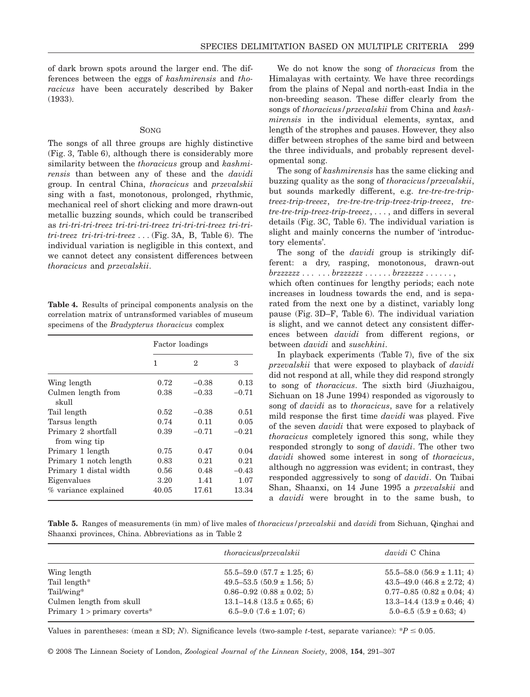of dark brown spots around the larger end. The differences between the eggs of *kashmirensis* and *thoracicus* have been accurately described by Baker (1933).

#### SONG

The songs of all three groups are highly distinctive (Fig. 3, Table 6), although there is considerably more similarity between the *thoracicus* group and *kashmirensis* than between any of these and the *davidi* group. In central China, *thoracicus* and *przevalskii* sing with a fast, monotonous, prolonged, rhythmic, mechanical reel of short clicking and more drawn-out metallic buzzing sounds, which could be transcribed as *tri-tri-tri-treez tri-tri-tri-treez tri-tri-tri-treez tri-tritri-treez tri-tri-tri-treez* . . . (Fig. 3A, B, Table 6). The individual variation is negligible in this context, and we cannot detect any consistent differences between *thoracicus* and *przevalskii*.

**Table 4.** Results of principal components analysis on the correlation matrix of untransformed variables of museum specimens of the *Bradypterus thoracicus* complex

|                                      | Factor loadings |         |         |
|--------------------------------------|-----------------|---------|---------|
|                                      | 1               | 2       | 3       |
| Wing length                          | 0.72            | $-0.38$ | 0.13    |
| Culmen length from<br>skull          | 0.38            | $-0.33$ | $-0.71$ |
| Tail length                          | 0.52            | $-0.38$ | 0.51    |
| Tarsus length                        | 0.74            | 0.11    | 0.05    |
| Primary 2 shortfall<br>from wing tip | 0.39            | $-0.71$ | $-0.21$ |
| Primary 1 length                     | 0.75            | 0.47    | 0.04    |
| Primary 1 notch length               | 0.83            | 0.21    | 0.21    |
| Primary 1 distal width               | 0.56            | 0.48    | $-0.43$ |
| Eigenvalues                          | 3.20            | 1.41    | 1.07    |
| % variance explained                 | 40.05           | 17.61   | 13.34   |

We do not know the song of *thoracicus* from the Himalayas with certainty. We have three recordings from the plains of Nepal and north-east India in the non-breeding season. These differ clearly from the songs of *thoracicus/przevalskii* from China and *kashmirensis* in the individual elements, syntax, and length of the strophes and pauses. However, they also differ between strophes of the same bird and between the three individuals, and probably represent developmental song.

The song of *kashmirensis* has the same clicking and buzzing quality as the song of *thoracicus/przevalskii*, but sounds markedly different, e.g. *tre-tre-tre-triptreez-trip-treeez*, *tre-tre-tre-trip-treez-trip-treeez*, *tretre-tre-trip-treez-trip-treeez*, . . . , and differs in several details (Fig. 3C, Table 6). The individual variation is slight and mainly concerns the number of 'introductory elements'.

The song of the *davidi* group is strikingly different: a dry, rasping, monotonous, drawn-out *brzzzzzz* ... ... *brzzzzzz* ...... *brzzzzzz* ......, which often continues for lengthy periods; each note increases in loudness towards the end, and is separated from the next one by a distinct, variably long pause (Fig. 3D–F, Table 6). The individual variation is slight, and we cannot detect any consistent differences between *davidi* from different regions, or between *davidi* and *suschkini*.

In playback experiments (Table 7), five of the six *przevalskii* that were exposed to playback of *davidi* did not respond at all, while they did respond strongly to song of *thoracicus*. The sixth bird (Jiuzhaigou, Sichuan on 18 June 1994) responded as vigorously to song of *davidi* as to *thoracicus*, save for a relatively mild response the first time *davidi* was played. Five of the seven *davidi* that were exposed to playback of *thoracicus* completely ignored this song, while they responded strongly to song of *davidi*. The other two *davidi* showed some interest in song of *thoracicus*, although no aggression was evident; in contrast, they responded aggressively to song of *davidi*. On Taibai Shan, Shaanxi, on 14 June 1995 a *przevalskii* and a *davidi* were brought in to the same bush, to

**Table 5.** Ranges of measurements (in mm) of live males of *thoracicus/przevalskii* and *davidi* from Sichuan, Qinghai and Shaanxi provinces, China. Abbreviations as in Table 2

|                                | <i>thoracicus/przevalskii</i>      | <i>davidi</i> C China              |
|--------------------------------|------------------------------------|------------------------------------|
| Wing length                    | $55.5 - 59.0$ $(57.7 \pm 1.25; 6)$ | $55.5 - 58.0$ $(56.9 \pm 1.11; 4)$ |
| Tail length*                   | $49.5 - 53.5 (50.9 \pm 1.56; 5)$   | $43.5 - 49.0$ $(46.8 \pm 2.72; 4)$ |
| Tail/wing*                     | $0.86 - 0.92$ $(0.88 \pm 0.02; 5)$ | $0.77-0.85$ $(0.82 \pm 0.04; 4)$   |
| Culmen length from skull       | $13.1 - 14.8$ $(13.5 \pm 0.65; 6)$ | $13.3 - 14.4$ $(13.9 \pm 0.46; 4)$ |
| Primary $1 >$ primary coverts* | $6.5 - 9.0$ $(7.6 \pm 1.07; 6)$    | $5.0 - 6.5$ $(5.9 \pm 0.63; 4)$    |

Values in parentheses: (mean  $\pm$  SD; *N*). Significance levels (two-sample *t*-test, separate variance): \**P*  $\leq$  0.05.

© 2008 The Linnean Society of London, *Zoological Journal of the Linnean Society*, 2008, **154**, 291–307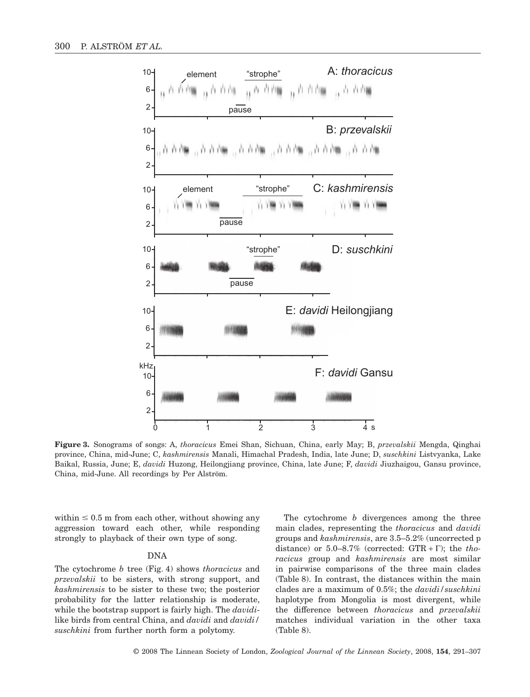

**Figure 3.** Sonograms of songs: A, *thoracicus* Emei Shan, Sichuan, China, early May; B, *przevalskii* Mengda, Qinghai province, China, mid-June; C, *kashmirensis* Manali, Himachal Pradesh, India, late June; D, *suschkini* Listvyanka, Lake Baikal, Russia, June; E, *davidi* Huzong, Heilongjiang province, China, late June; F, *davidi* Jiuzhaigou, Gansu province, China, mid-June. All recordings by Per Alström.

within  $\leq 0.5$  m from each other, without showing any aggression toward each other, while responding strongly to playback of their own type of song.

#### DNA

The cytochrome *b* tree (Fig. 4) shows *thoracicus* and *przevalskii* to be sisters, with strong support, and *kashmirensis* to be sister to these two; the posterior probability for the latter relationship is moderate, while the bootstrap support is fairly high. The *davidi*like birds from central China, and *davidi* and *davidi* / *suschkini* from further north form a polytomy.

The cytochrome *b* divergences among the three main clades, representing the *thoracicus* and *davidi* groups and *kashmirensis*, are 3.5–5.2% (uncorrected p distance) or  $5.0-8.7\%$  (corrected: GTR +  $\Gamma$ ); the *thoracicus* group and *kashmirensis* are most similar in pairwise comparisons of the three main clades (Table 8). In contrast, the distances within the main clades are a maximum of 0.5%; the *davidi/suschkini* haplotype from Mongolia is most divergent, while the difference between *thoracicus* and *przevalskii* matches individual variation in the other taxa (Table 8).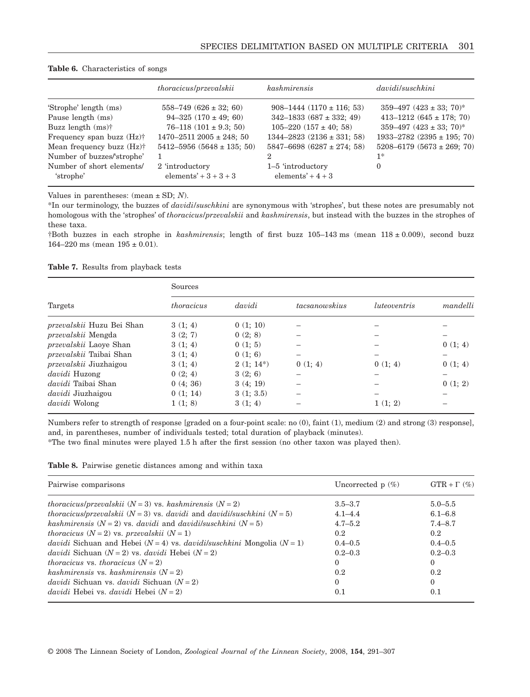|                                         | thoracicus/przevalskii                     | kashmirensis                             | davidi/suschkini                   |
|-----------------------------------------|--------------------------------------------|------------------------------------------|------------------------------------|
| 'Strophe' length (ms)                   | $558-749(626 \pm 32; 60)$                  | $908-1444$ $(1170 \pm 116; 53)$          | $359-497$ $(423 \pm 33; 70)^*$     |
| Pause length (ms)                       | $94-325(170 \pm 49; 60)$                   | $342 - 1833(687 \pm 332; 49)$            | $413 - 1212 (645 \pm 178; 70)$     |
| Buzz length $(ms)$ †                    | $76-118$ $(101 \pm 9.3; 50)$               | $105 - 220$ $(157 \pm 40; 58)$           | $359-497$ $(423 \pm 33; 70)^*$     |
| Frequency span buzz $(Hz)$ †            | $1470 - 25112005 \pm 248$ ; 50             | $1344 - 2823$ $(2136 \pm 331; 58)$       | 1933-2782 (2395 ± 195; 70)         |
| Mean frequency buzz $(Hz)$ <sup>†</sup> | $5412 - 5956$ $(5648 \pm 135; 50)$         | $5847 - 6698 (6287 \pm 274; 58)$         | $5208 - 6179$ $(5673 \pm 269; 70)$ |
| Number of buzzes/'strophe'              |                                            |                                          | $1*$                               |
| Number of short elements/<br>'strophe'  | 2 'introductory<br>elements' + $3 + 3 + 3$ | 1–5 'introductory<br>elements' + $4 + 3$ | 0                                  |

## **Table 6.** Characteristics of songs

Values in parentheses: (mean ± SD; *N*).

\*In our terminology, the buzzes of *davidi/suschkini* are synonymous with 'strophes', but these notes are presumably not homologous with the 'strophes' of *thoracicus/przevalskii* and *kashmirensis*, but instead with the buzzes in the strophes of these taxa.

†Both buzzes in each strophe in *kashmirensis*; length of first buzz 105–143 ms (mean 118 ± 0.009), second buzz 164–220 ms (mean  $195 \pm 0.01$ ).

## **Table 7.** Results from playback tests

|                                  | Sources           |             |                      |                            |          |  |  |
|----------------------------------|-------------------|-------------|----------------------|----------------------------|----------|--|--|
| Targets                          | <i>thoracicus</i> | davidi      | <i>tacsanowskius</i> | <i><u>luteoventris</u></i> | mandelli |  |  |
| <i>przevalskii</i> Huzu Bei Shan | 3(1; 4)           | 0(1:10)     |                      |                            |          |  |  |
| przevalskii Mengda               | 3(2; 7)           | 0(2; 8)     |                      |                            |          |  |  |
| przevalskii Laoye Shan           | 3(1; 4)           | 0(1; 5)     |                      |                            | 0(1; 4)  |  |  |
| przevalskii Taibai Shan          | 3(1; 4)           | 0(1; 6)     |                      |                            |          |  |  |
| przevalskii Jiuzhaigou           | 3(1; 4)           | $2(1:14^*)$ | 0(1; 4)              | 0(1; 4)                    | 0(1; 4)  |  |  |
| davidi Huzong                    | 0(2; 4)           | 3(2; 6)     |                      |                            |          |  |  |
| davidi Taibai Shan               | 0(4; 36)          | 3(4; 19)    |                      |                            | 0(1; 2)  |  |  |
| <i>davidi</i> Jiuzhaigou         | 0(1; 14)          | 3(1; 3.5)   |                      |                            |          |  |  |
| davidi Wolong                    | 1(1; 8)           | 3(1; 4)     |                      | 1(1; 2)                    |          |  |  |

Numbers refer to strength of response [graded on a four-point scale: no (0), faint (1), medium (2) and strong (3) response], and, in parentheses, number of individuals tested; total duration of playback (minutes).

\*The two final minutes were played 1.5 h after the first session (no other taxon was played then).

**Table 8.** Pairwise genetic distances among and within taxa

| Pairwise comparisons                                                                         | Uncorrected $p(\%)$ | $GTR + \Gamma$ (%) |
|----------------------------------------------------------------------------------------------|---------------------|--------------------|
| <i>thoracicus/przevalskii</i> $(N = 3)$ vs. <i>kashmirensis</i> $(N = 2)$                    | $3.5 - 3.7$         | $5.0 - 5.5$        |
| thoracicus/przevalskii $(N = 3)$ vs. davidi and davidi/suschkini $(N = 5)$                   | $4.1 - 4.4$         | $6.1 - 6.8$        |
| kashmirensis $(N = 2)$ vs. <i>davidi</i> and <i>davidilsuschkini</i> $(N = 5)$               | $4.7 - 5.2$         | $7.4 - 8.7$        |
| <i>thoracicus</i> $(N = 2)$ vs. <i>przevalskii</i> $(N = 1)$                                 | 0.2                 | 0.2                |
| <i>davidi</i> Sichuan and Hebei ( $N = 4$ ) vs. <i>davidilsuschkini</i> Mongolia ( $N = 1$ ) | $0.4 - 0.5$         | $0.4 - 0.5$        |
| <i>davidi</i> Sichuan $(N = 2)$ vs. <i>davidi</i> Hebei $(N = 2)$                            | $0.2 - 0.3$         | $0.2 - 0.3$        |
| <i>thoracicus</i> vs. <i>thoracicus</i> $(N = 2)$                                            | $\Omega$            | $\Omega$           |
| kashmirensis vs. kashmirensis $(N = 2)$                                                      | 0.2                 | 0.2                |
| <i>davidi</i> Sichuan vs. <i>davidi</i> Sichuan $(N = 2)$                                    | $\theta$            | $\theta$           |
| <i>davidi</i> Hebei vs. <i>davidi</i> Hebei $(N = 2)$                                        | 0.1                 | 0.1                |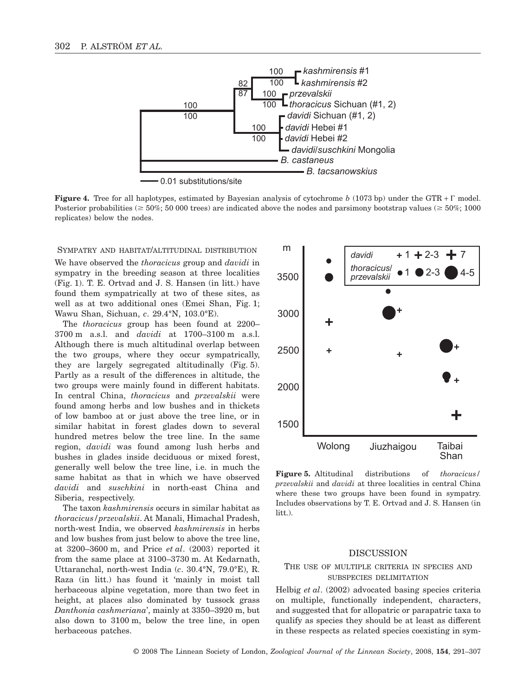

**Figure 4.** Tree for all haplotypes, estimated by Bayesian analysis of cytochrome  $b$  (1073 bp) under the GTR +  $\Gamma$  model. Posterior probabilities (≥ 50%; 50 000 trees) are indicated above the nodes and parsimony bootstrap values (≥ 50%; 1000 replicates) below the nodes.

SYMPATRY AND HABITAT/ALTITUDINAL DISTRIBUTION

We have observed the *thoracicus* group and *davidi* in sympatry in the breeding season at three localities (Fig. 1). T. E. Ortvad and J. S. Hansen (in litt.) have found them sympatrically at two of these sites, as well as at two additional ones (Emei Shan, Fig. 1; Wawu Shan, Sichuan, *c*. 29.4°N, 103.0°E).

The *thoracicus* group has been found at 2200– 3700 m a.s.l. and *davidi* at 1700–3100 m a.s.l. Although there is much altitudinal overlap between the two groups, where they occur sympatrically, they are largely segregated altitudinally (Fig. 5). Partly as a result of the differences in altitude, the two groups were mainly found in different habitats. In central China, *thoracicus* and *przevalskii* were found among herbs and low bushes and in thickets of low bamboo at or just above the tree line, or in similar habitat in forest glades down to several hundred metres below the tree line. In the same region, *davidi* was found among lush herbs and bushes in glades inside deciduous or mixed forest, generally well below the tree line, i.e. in much the same habitat as that in which we have observed *davidi* and *suschkini* in north-east China and Siberia, respectively.

The taxon *kashmirensis* occurs in similar habitat as *thoracicus/przevalskii*. At Manali, Himachal Pradesh, north-west India, we observed *kashmirensis* in herbs and low bushes from just below to above the tree line, at 3200–3600 m, and Price *et al*. (2003) reported it from the same place at 3100–3730 m. At Kedarnath, Uttaranchal, north-west India (*c*. 30.4°N, 79.0°E), R. Raza (in litt.) has found it 'mainly in moist tall herbaceous alpine vegetation, more than two feet in height, at places also dominated by tussock grass *Danthonia cashmeriana*', mainly at 3350–3920 m, but also down to 3100 m, below the tree line, in open herbaceous patches.



**Figure 5.** Altitudinal distributions of *thoracicus/ przevalskii* and *davidi* at three localities in central China where these two groups have been found in sympatry. Includes observations by T. E. Ortvad and J. S. Hansen (in litt.).

## DISCUSSION

## THE USE OF MULTIPLE CRITERIA IN SPECIES AND SUBSPECIES DELIMITATION

Helbig *et al*. (2002) advocated basing species criteria on multiple, functionally independent, characters, and suggested that for allopatric or parapatric taxa to qualify as species they should be at least as different in these respects as related species coexisting in sym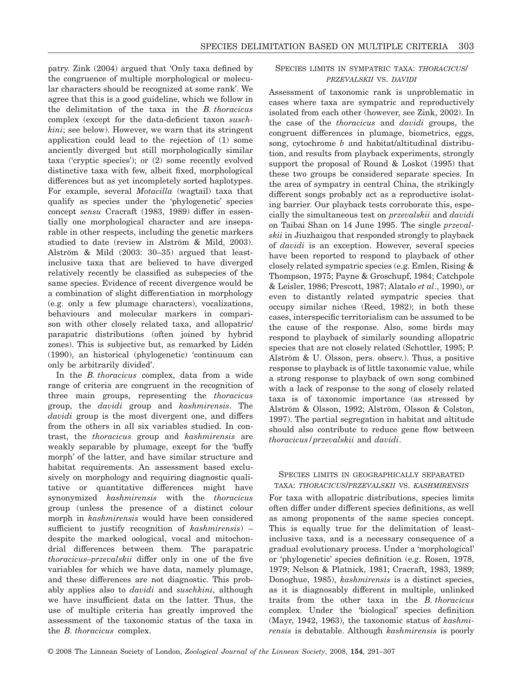patry. Zink (2004) argued that 'Only taxa defined by the congruence of multiple morphological or molecular characters should be recognized at some rank'. We agree that this is a good guideline, which we follow in the delimitation of the taxa in the *B. thoracicus* complex (except for the data-deficient taxon *suschkini*; see below). However, we warn that its stringent application could lead to the rejection of (1) some anciently diverged but still morphologically similar taxa ('cryptic species'); or (2) some recently evolved distinctive taxa with few, albeit fixed, morphological differences but as yet incompletely sorted haplotypes. For example, several *Motacilla* (wagtail) taxa that qualify as species under the 'phylogenetic' species concept *sensu* Cracraft (1983, 1989) differ in essentially one morphological character and are inseparable in other respects, including the genetic markers studied to date (review in Alström & Mild, 2003). Alström & Mild (2003: 30–35) argued that leastinclusive taxa that are believed to have diverged relatively recently be classified as subspecies of the same species. Evidence of recent divergence would be a combination of slight differentiation in morphology (e.g. only a few plumage characters), vocalizations, behaviours and molecular markers in comparison with other closely related taxa, and allopatric/ parapatric distributions (often joined by hybrid zones). This is subjective but, as remarked by Lidén (1990), an historical (phylogenetic) 'continuum can only be arbitrarily divided'.

In the *B. thoracicus* complex, data from a wide range of criteria are congruent in the recognition of three main groups, representing the *thoracicus* group, the *davidi* group and *kashmirensis*. The *davidi* group is the most divergent one, and differs from the others in all six variables studied. In contrast, the *thoracicus* group and *kashmirensis* are weakly separable by plumage, except for the 'buffy morph' of the latter, and have similar structure and habitat requirements. An assessment based exclusively on morphology and requiring diagnostic qualitative or quantitative differences might have synonymized *kashmirensis* with the *thoracicus* group (unless the presence of a distinct colour morph in *kashmirensis* would have been considered sufficient to justify recognition of *kashmirensis*) – despite the marked oological, vocal and mitochondrial differences between them. The parapatric *thoracicus–przevalskii* differ only in one of the five variables for which we have data, namely plumage, and these differences are not diagnostic. This probably applies also to *davidi* and *suschkini*, although we have insufficient data on the latter. Thus, the use of multiple criteria has greatly improved the assessment of the taxonomic status of the taxa in the *B. thoracicus* complex.

## SPECIES LIMITS IN SYMPATRIC TAXA: *THORACICUS*/ *PRZEVALSKII* VS. *DAVIDI*

Assessment of taxonomic rank is unproblematic in cases where taxa are sympatric and reproductively isolated from each other (however, see Zink, 2002). In the case of the *thoracicus* and *davidi* groups, the congruent differences in plumage, biometrics, eggs, song, cytochrome *b* and habitat/altitudinal distribution, and results from playback experiments, strongly support the proposal of Round & Loskot (1995) that these two groups be considered separate species. In the area of sympatry in central China, the strikingly different songs probably act as a reproductive isolating barrier. Our playback tests corroborate this, especially the simultaneous test on *przevalskii* and *davidi* on Taibai Shan on 14 June 1995. The single *przevalskii* in Jiuzhaigou that responded strongly to playback of *davidi* is an exception. However, several species have been reported to respond to playback of other closely related sympatric species (e.g. Emlen, Rising & Thompson, 1975; Payne & Groschupf, 1984; Catchpole & Leisler, 1986; Prescott, 1987; Alatalo *et al*., 1990), or even to distantly related sympatric species that occupy similar niches (Reed, 1982); in both these cases, interspecific territorialism can be assumed to be the cause of the response. Also, some birds may respond to playback of similarly sounding allopatric species that are not closely related (Schottler, 1995; P. Alström & U. Olsson, pers. observ.). Thus, a positive response to playback is of little taxonomic value, while a strong response to playback of own song combined with a lack of response to the song of closely related taxa is of taxonomic importance (as stressed by Alström & Olsson, 1992; Alström, Olsson & Colston, 1997). The partial segregation in habitat and altitude should also contribute to reduce gene flow between *thoracicus/przevalskii* and *davidi*.

## SPECIES LIMITS IN GEOGRAPHICALLY SEPARATED TAXA: *THORACICUS*/*PRZEVALSKII* VS. *KASHMIRENSIS*

For taxa with allopatric distributions, species limits often differ under different species definitions, as well as among proponents of the same species concept. This is equally true for the delimitation of leastinclusive taxa, and is a necessary consequence of a gradual evolutionary process. Under a 'morphological' or 'phylogenetic' species definition (e.g. Rosen, 1978, 1979; Nelson & Platnick, 1981; Cracraft, 1983, 1989; Donoghue, 1985), *kashmirensis* is a distinct species, as it is diagnosably different in multiple, unlinked traits from the other taxa in the *B. thoracicus* complex. Under the 'biological' species definition (Mayr, 1942, 1963), the taxonomic status of *kashmirensis* is debatable. Although *kashmirensis* is poorly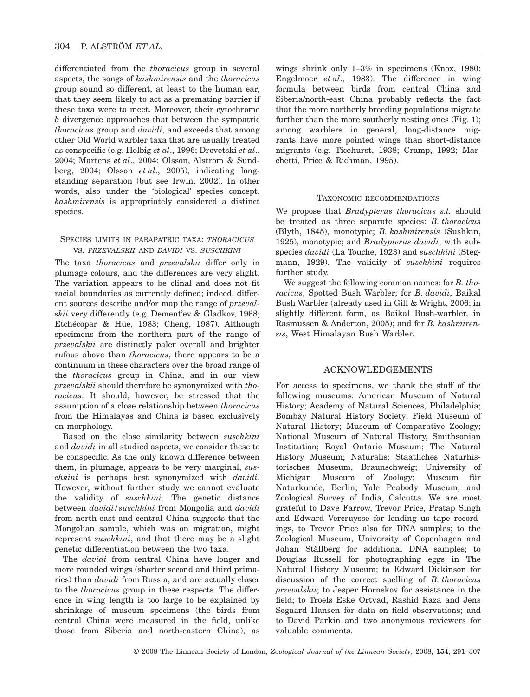differentiated from the *thoracicus* group in several aspects, the songs of *kashmirensis* and the *thoracicus* group sound so different, at least to the human ear, that they seem likely to act as a premating barrier if these taxa were to meet. Moreover, their cytochrome *b* divergence approaches that between the sympatric *thoracicus* group and *davidi*, and exceeds that among other Old World warbler taxa that are usually treated as conspecific (e.g. Helbig *et al*., 1996; Drovetski *et al*., 2004; Martens *et al*., 2004; Olsson, Alström & Sundberg, 2004; Olsson *et al*., 2005), indicating longstanding separation (but see Irwin, 2002). In other words, also under the 'biological' species concept, *kashmirensis* is appropriately considered a distinct species.

## SPECIES LIMITS IN PARAPATRIC TAXA: *THORACICUS* VS. *PRZEVALSKII* AND *DAVIDI* VS. *SUSCHKINI*

The taxa *thoracicus* and *przevalskii* differ only in plumage colours, and the differences are very slight. The variation appears to be clinal and does not fit racial boundaries as currently defined; indeed, different sources describe and/or map the range of *przevalskii* very differently (e.g. Dement'ev & Gladkov, 1968; Etchécopar & Hüe, 1983; Cheng, 1987). Although specimens from the northern part of the range of *przevalskii* are distinctly paler overall and brighter rufous above than *thoracicus*, there appears to be a continuum in these characters over the broad range of the *thoracicus* group in China, and in our view *przevalskii* should therefore be synonymized with *thoracicus*. It should, however, be stressed that the assumption of a close relationship between *thoracicus* from the Himalayas and China is based exclusively on morphology.

Based on the close similarity between *suschkini* and *davidi* in all studied aspects, we consider these to be conspecific. As the only known difference between them, in plumage, appears to be very marginal, *suschkini* is perhaps best synonymized with *davidi*. However, without further study we cannot evaluate the validity of *suschkini*. The genetic distance between *davidi/suschkini* from Mongolia and *davidi* from north-east and central China suggests that the Mongolian sample, which was on migration, might represent *suschkini*, and that there may be a slight genetic differentiation between the two taxa.

The *davidi* from central China have longer and more rounded wings (shorter second and third primaries) than *davidi* from Russia, and are actually closer to the *thoracicus* group in these respects. The difference in wing length is too large to be explained by shrinkage of museum specimens (the birds from central China were measured in the field, unlike those from Siberia and north-eastern China), as

wings shrink only 1–3% in specimens (Knox, 1980; Engelmoer *et al*., 1983). The difference in wing formula between birds from central China and Siberia/north-east China probably reflects the fact that the more northerly breeding populations migrate further than the more southerly nesting ones (Fig. 1); among warblers in general, long-distance migrants have more pointed wings than short-distance migrants (e.g. Ticehurst, 1938; Cramp, 1992; Marchetti, Price & Richman, 1995).

#### TAXONOMIC RECOMMENDATIONS

We propose that *Bradypterus thoracicus s.l.* should be treated as three separate species: *B. thoracicus* (Blyth, 1845), monotypic; *B. kashmirensis* (Sushkin, 1925), monotypic; and *Bradypterus davidi*, with subspecies *davidi* (La Touche, 1923) and *suschkini* (Stegmann, 1929). The validity of *suschkini* requires further study.

We suggest the following common names: for *B. thoracicus*, Spotted Bush Warbler; for *B. davidi*, Baikal Bush Warbler (already used in Gill & Wright, 2006; in slightly different form, as Baikal Bush-warbler, in Rasmussen & Anderton, 2005); and for *B. kashmirensis*, West Himalayan Bush Warbler.

#### ACKNOWLEDGEMENTS

For access to specimens, we thank the staff of the following museums: American Museum of Natural History; Academy of Natural Sciences, Philadelphia; Bombay Natural History Society; Field Museum of Natural History; Museum of Comparative Zoology; National Museum of Natural History, Smithsonian Institution; Royal Ontario Museum; The Natural History Museum; Naturalis; Staatliches Naturhistorisches Museum, Braunschweig; University of Michigan Museum of Zoology; Museum für Naturkunde, Berlin; Yale Peabody Museum; and Zoological Survey of India, Calcutta. We are most grateful to Dave Farrow, Trevor Price, Pratap Singh and Edward Vercruysse for lending us tape recordings, to Trevor Price also for DNA samples; to the Zoological Museum, University of Copenhagen and Johan Ställberg for additional DNA samples; to Douglas Russell for photographing eggs in The Natural History Museum; to Edward Dickinson for discussion of the correct spelling of *B. thoracicus przevalskii*; to Jesper Hornskov for assistance in the field; to Troels Eske Ortvad, Rashid Raza and Jens Søgaard Hansen for data on field observations; and to David Parkin and two anonymous reviewers for valuable comments.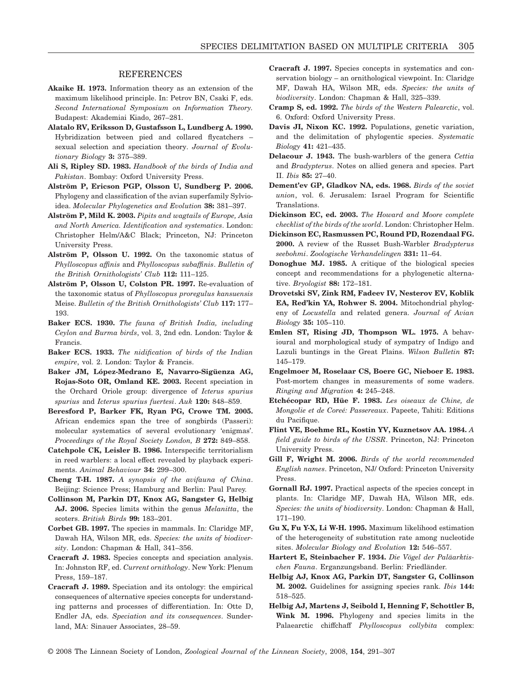#### REFERENCES

- **Akaike H. 1973.** Information theory as an extension of the maximum likelihood principle. In: Petrov BN, Csaki F, eds. *Second International Symposium on Information Theory.* Budapest: Akademiai Kiado, 267–281.
- **Alatalo RV, Eriksson D, Gustafsson L, Lundberg A. 1990.** Hybridization between pied and collared flycatchers – sexual selection and speciation theory. *Journal of Evolutionary Biology* **3:** 375–389.
- **Ali S, Ripley SD. 1983.** *Handbook of the birds of India and Pakistan*. Bombay: Oxford University Press.
- **Alström P, Ericson PGP, Olsson U, Sundberg P. 2006.** Phylogeny and classification of the avian superfamily Sylvioidea. *Molecular Phylogenetics and Evolution* **38:** 381–397.
- **Alström P, Mild K. 2003.** *Pipits and wagtails of Europe, Asia and North America. Identification and systematics*. London: Christopher Helm/A&C Black; Princeton, NJ: Princeton University Press.
- **Alström P, Olsson U. 1992.** On the taxonomic status of *Phylloscopus affinis* and *Phylloscopus subaffinis*. *Bulletin of the British Ornithologists' Club* **112:** 111–125.
- **Alström P, Olsson U, Colston PR. 1997.** Re-evaluation of the taxonomic status of *Phylloscopus proregulus kansuensis* Meise. *Bulletin of the British Ornithologists' Club* **117:** 177– 193.
- **Baker ECS. 1930.** *The fauna of British India, including Ceylon and Burma birds*, vol. 3, 2nd edn. London: Taylor & Francis.
- **Baker ECS. 1933.** *The nidification of birds of the Indian empire*, vol. 2. London: Taylor & Francis.
- **Baker JM, López-Medrano E, Navarro-Sigüenza AG, Rojas-Soto OR, Omland KE. 2003.** Recent speciation in the Orchard Oriole group: divergence of *Icterus spurius spurius* and *Icterus spurius fuertesi*. *Auk* **120:** 848–859.
- **Beresford P, Barker FK, Ryan PG, Crowe TM. 2005.** African endemics span the tree of songbirds (Passeri): molecular systematics of several evolutionary 'enigmas'. *Proceedings of the Royal Society London, B* **272:** 849–858.
- **Catchpole CK, Leisler B. 1986.** Interspecific territorialism in reed warblers: a local effect revealed by playback experiments. *Animal Behaviour* **34:** 299–300.
- **Cheng T-H. 1987.** *A synopsis of the avifauna of China*. Beijing: Science Press; Hamburg and Berlin: Paul Parey.
- **Collinson M, Parkin DT, Knox AG, Sangster G, Helbig AJ. 2006.** Species limits within the genus *Melanitta*, the scoters. *British Birds* **99:** 183–201.
- **Corbet GB. 1997.** The species in mammals. In: Claridge MF, Dawah HA, Wilson MR, eds. *Species: the units of biodiversity*. London: Chapman & Hall, 341–356.
- **Cracraft J. 1983.** Species concepts and speciation analysis. In: Johnston RF, ed. *Current ornithology*. New York: Plenum Press, 159–187.
- **Cracraft J. 1989.** Speciation and its ontology: the empirical consequences of alternative species concepts for understanding patterns and processes of differentiation. In: Otte D, Endler JA, eds. *Speciation and its consequences*. Sunderland, MA: Sinauer Associates, 28–59.
- **Cracraft J. 1997.** Species concepts in systematics and conservation biology – an ornithological viewpoint. In: Claridge MF, Dawah HA, Wilson MR, eds. *Species: the units of biodiversity*. London: Chapman & Hall, 325–339.
- **Cramp S, ed. 1992.** *The birds of the Western Palearctic*, vol. 6. Oxford: Oxford University Press.
- **Davis JI, Nixon KC. 1992.** Populations, genetic variation, and the delimitation of phylogentic species. *Systematic Biology* **41:** 421–435.
- **Delacour J. 1943.** The bush-warblers of the genera *Cettia* and *Bradypterus*. Notes on allied genera and species. Part II. *Ibis* **85:** 27–40.
- **Dement'ev GP, Gladkov NA, eds. 1968.** *Birds of the soviet union*, vol. 6. Jerusalem: Israel Program for Scientific Translations.
- **Dickinson EC, ed. 2003.** *The Howard and Moore complete checklist of the birds of the world*. London: Christopher Helm.
- **Dickinson EC, Rasmussen PC, Round PD, Rozendaal FG. 2000.** A review of the Russet Bush-Warbler *Bradypterus seebohmi*. *Zoologische Verhandelingen* **331:** 11–64.
- **Donoghue MJ. 1985.** A critique of the biological species concept and recommendations for a phylogenetic alternative. *Bryologist* **88:** 172–181.
- **Drovetski SV, Zink RM, Fadeev IV, Nesterov EV, Koblik EA, Red'kin YA, Rohwer S. 2004.** Mitochondrial phylogeny of *Locustella* and related genera. *Journal of Avian Biology* **35:** 105–110.
- **Emlen ST, Rising JD, Thompson WL. 1975.** A behavioural and morphological study of sympatry of Indigo and Lazuli buntings in the Great Plains. *Wilson Bulletin* **87:** 145–179.
- **Engelmoer M, Roselaar CS, Boere GC, Nieboer E. 1983.** Post-mortem changes in measurements of some waders. *Ringing and Migration* **4:** 245–248.
- **Etchécopar RD, Hüe F. 1983.** *Les oiseaux de Chine, de Mongolie et de Coreé: Passereaux*. Papeete, Tahiti: Editions du Pacifique.
- **Flint VE, Boehme RL, Kostin YV, Kuznetsov AA. 1984.** *A field guide to birds of the USSR*. Princeton, NJ: Princeton University Press.
- **Gill F, Wright M. 2006.** *Birds of the world recommended English names*. Princeton, NJ/ Oxford: Princeton University Press.
- **Gornall RJ. 1997.** Practical aspects of the species concept in plants. In: Claridge MF, Dawah HA, Wilson MR, eds. *Species: the units of biodiversity*. London: Chapman & Hall, 171–190.
- **Gu X, Fu Y-X, Li W-H. 1995.** Maximum likelihood estimation of the heterogeneity of substitution rate among nucleotide sites. *Molecular Biology and Evolution* **12:** 546–557.
- **Hartert E, Steinbacher F. 1934.** *Die Vögel der Paläarktischen Fauna*. Erganzungsband. Berlin: Friedländer.
- **Helbig AJ, Knox AG, Parkin DT, Sangster G, Collinson M. 2002.** Guidelines for assigning species rank. *Ibis* **144:** 518–525.
- **Helbig AJ, Martens J, Seibold I, Henning F, Schottler B, Wink M. 1996.** Phylogeny and species limits in the Palaearctic chiffchaff *Phylloscopus collybita* complex: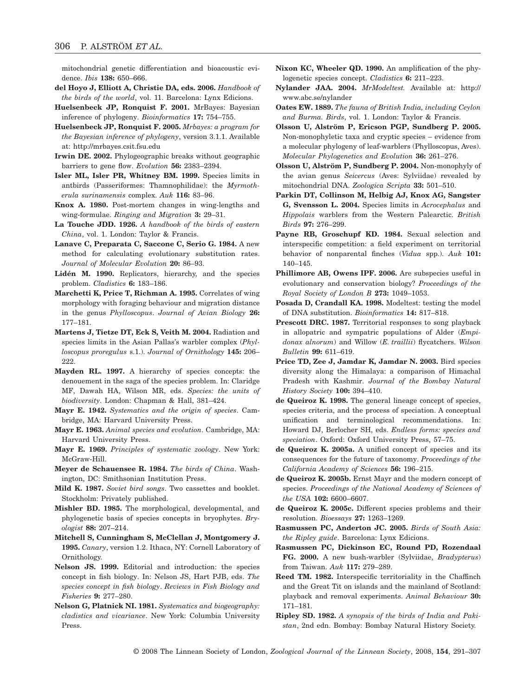mitochondrial genetic differentiation and bioacoustic evidence. *Ibis* **138:** 650–666.

- **del Hoyo J, Elliott A, Christie DA, eds. 2006.** *Handbook of the birds of the world*, vol. 11. Barcelona: Lynx Edicions.
- **Huelsenbeck JP, Ronquist F. 2001.** MrBayes: Bayesian inference of phylogeny. *Bioinformatics* **17:** 754–755.
- **Huelsenbeck JP, Ronquist F. 2005.** *Mrbayes: a program for the Bayesian inference of phylogeny*, version 3.1.1. Available at:<http://mrbayes.csit.fsu.edu>
- **Irwin DE. 2002.** Phylogeographic breaks without geographic barriers to gene flow. *Evolution* **56:** 2383–2394.
- **Isler ML, Isler PR, Whitney BM. 1999.** Species limits in antbirds (Passeriformes: Thamnophilidae): the *Myrmotherula surinamensis* complex. *Auk* **116:** 83–96.
- **Knox A. 1980.** Post-mortem changes in wing-lengths and wing-formulae. *Ringing and Migration* **3:** 29–31.
- **La Touche JDD. 1926.** *A handbook of the birds of eastern China*, vol. 1. London: Taylor & Francis.
- **Lanave C, Preparata C, Saccone C, Serio G. 1984.** A new method for calculating evolutionary substitution rates. *Journal of Molecular Evolution* **20:** 86–93.
- **Lidén M. 1990.** Replicators, hierarchy, and the species problem. *Cladistics* **6:** 183–186.
- **Marchetti K, Price T, Richman A. 1995.** Correlates of wing morphology with foraging behaviour and migration distance in the genus *Phylloscopus*. *Journal of Avian Biology* **26:** 177–181.
- **Martens J, Tietze DT, Eck S, Veith M. 2004.** Radiation and species limits in the Asian Pallas's warbler complex (*Phylloscopus proregulus* s.1.). *Journal of Ornithology* **145:** 206– 222
- **Mayden RL. 1997.** A hierarchy of species concepts: the denouement in the saga of the species problem. In: Claridge MF, Dawah HA, Wilson MR, eds. *Species: the units of biodiversity*. London: Chapman & Hall, 381–424.
- **Mayr E. 1942.** *Systematics and the origin of species*. Cambridge, MA: Harvard University Press.
- **Mayr E. 1963.** *Animal species and evolution*. Cambridge, MA: Harvard University Press.
- **Mayr E. 1969.** *Principles of systematic zoology*. New York: McGraw-Hill.
- **Meyer de Schauensee R. 1984.** *The birds of China*. Washington, DC: Smithsonian Institution Press.
- **Mild K. 1987.** *Soviet bird songs*. Two cassettes and booklet. Stockholm: Privately published.
- **Mishler BD. 1985.** The morphological, developmental, and phylogenetic basis of species concepts in bryophytes. *Bryologist* **88:** 207–214.
- **Mitchell S, Cunningham S, McClellan J, Montgomery J. 1995.** *Canary*, version 1.2. Ithaca, NY: Cornell Laboratory of Ornithology.
- **Nelson JS. 1999.** Editorial and introduction: the species concept in fish biology. In: Nelson JS, Hart PJB, eds. *The species concept in fish biology*. *Reviews in Fish Biology and Fisheries* **9:** 277–280.
- **Nelson G, Platnick NI. 1981.** *Systematics and biogeography: cladistics and vicariance*. New York: Columbia University Press.
- **Nixon KC, Wheeler QD. 1990.** An amplification of the phylogenetic species concept. *Cladistics* **6:** 211–223.
- **Nylander JAA. 2004.** *MrModeltest.* Available at: [http://](http://www.abc.se/nylander) [www.abc.se/nylander](http://www.abc.se/nylander)
- **Oates EW. 1889.** *The fauna of British India, including Ceylon and Burma. Birds*, vol. 1. London: Taylor & Francis.
- **Olsson U, Alström P, Ericson PGP, Sundberg P. 2005.** Non-monophyletic taxa and cryptic species – evidence from a molecular phylogeny of leaf-warblers (Phylloscopus, Aves). *Molecular Phylogenetics and Evolution* **36:** 261–276.
- **Olsson U, Alström P, Sundberg P. 2004.** Non-monophyly of the avian genus *Seicercus* (Aves: Sylviidae) revealed by mitochondrial DNA. *Zoologica Scripta* **33:** 501–510.
- **Parkin DT, Collinson M, Helbig AJ, Knox AG, Sangster G, Svensson L. 2004.** Species limits in *Acrocephalus* and *Hippolais* warblers from the Western Palearctic. *British Birds* **97:** 276–299.
- **Payne RB, Groschupf KD. 1984.** Sexual selection and interspecific competition: a field experiment on territorial behavior of nonparental finches (*Vidua* spp.). *Auk* **101:** 140–145.
- **Phillimore AB, Owens IPF. 2006.** Are subspecies useful in evolutionary and conservation biology? *Proceedings of the Royal Society of London B* **273:** 1049–1053.
- **Posada D, Crandall KA. 1998.** Modeltest: testing the model of DNA substitution. *Bioinformatics* **14:** 817–818.
- **Prescott DRC. 1987.** Territorial responses to song playback in allopatric and sympatric populations of Alder (*Empidonax alnorum*) and Willow (*E. traillii*) flycatchers. *Wilson Bulletin* **99:** 611–619.
- **Price TD, Zee J, Jamdar K, Jamdar N. 2003.** Bird species diversity along the Himalaya: a comparison of Himachal Pradesh with Kashmir. *Journal of the Bombay Natural History Society* **100:** 394–410.
- **de Queiroz K. 1998.** The general lineage concept of species, species criteria, and the process of speciation. A conceptual unification and terminological recommendations. In: Howard DJ, Berlocher SH, eds. *Endless forms: species and speciation*. Oxford: Oxford University Press, 57–75.
- **de Queiroz K. 2005a.** A unified concept of species and its consequences for the future of taxonomy. *Proceedings of the California Academy of Sciences* **56:** 196–215.
- **de Queiroz K. 2005b.** Ernst Mayr and the modern concept of species. *Proceedings of the National Academy of Sciences of the USA* **102:** 6600–6607.
- **de Queiroz K. 2005c.** Different species problems and their resolution. *Bioessays* **27:** 1263–1269.
- **Rasmussen PC, Anderton JC. 2005.** *Birds of South Asia: the Ripley guide*. Barcelona: Lynx Edicions.
- **Rasmussen PC, Dickinson EC, Round PD, Rozendaal FG. 2000.** A new bush-warbler (Sylviidae, *Bradypterus*) from Taiwan. *Auk* **117:** 279–289.
- **Reed TM. 1982.** Interspecific territoriality in the Chaffinch and the Great Tit on islands and the mainland of Scotland: playback and removal experiments. *Animal Behaviour* **30:** 171–181.
- **Ripley SD. 1982.** *A synopsis of the birds of India and Pakistan*, 2nd edn. Bombay: Bombay Natural History Society.